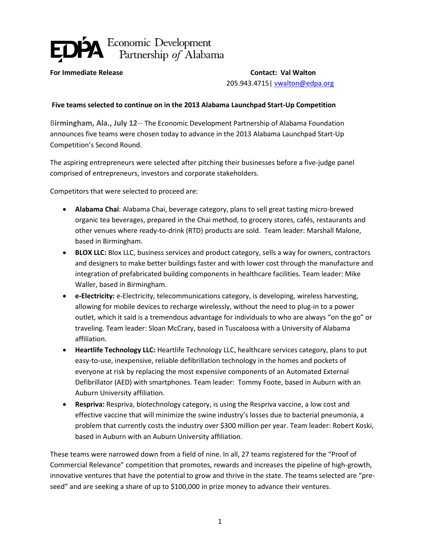

**For Immediate Release Contact: Val Walton**

205.943.4715| [vwalton@edpa.org](mailto:vwalton@edpa.org)

## **Five teams selected to continue on in the 2013 Alabama Launchpad Start-Up Competition**

B**irmingham, Ala., July 12**-- The Economic Development Partnership of Alabama Foundation announces five teams were chosen today to advance in the 2013 Alabama Launchpad Start-Up Competition's Second Round.

The aspiring entrepreneurs were selected after pitching their businesses before a five-judge panel comprised of entrepreneurs, investors and corporate stakeholders.

Competitors that were selected to proceed are:

- **Alabama Chai**: Alabama Chai, beverage category, plans to sell great tasting micro-brewed organic tea beverages, prepared in the Chai method, to grocery stores, cafés, restaurants and other venues where ready-to-drink (RTD) products are sold. Team leader: Marshall Malone, based in Birmingham.
- **BLOX LLC:** Blox LLC, business services and product category, sells a way for owners, contractors and designers to make better buildings faster and with lower cost through the manufacture and integration of prefabricated building components in healthcare facilities. Team leader: Mike Waller, based in Birmingham.
- **e-Electricity:** e-Electricity, telecommunications category, is developing, wireless harvesting, allowing for mobile devices to recharge wirelessly, without the need to plug-in to a power outlet, which it said is a tremendous advantage for individuals to who are always "on the go" or traveling. Team leader: Sloan McCrary, based in Tuscaloosa with a University of Alabama affiliation.
- **Heartlife Technology LLC:** Heartlife Technology LLC, healthcare services category, plans to put easy-to-use, inexpensive, reliable defibrillation technology in the homes and pockets of everyone at risk by replacing the most expensive components of an Automated External Defibrillator (AED) with smartphones. Team leader: Tommy Foote, based in Auburn with an Auburn University affiliation.
- **Respriva:** Respriva, biotechnology category, is using the Respriva vaccine, a low cost and effective vaccine that will minimize the swine industry's losses due to bacterial pneumonia, a problem that currently costs the industry over \$300 million per year. Team leader: Robert Koski, based in Auburn with an Auburn University affiliation.

These teams were narrowed down from a field of nine. In all, 27 teams registered for the "Proof of Commercial Relevance" competition that promotes, rewards and increases the pipeline of high-growth, innovative ventures that have the potential to grow and thrive in the state. The teams selected are "preseed" and are seeking a share of up to \$100,000 in prize money to advance their ventures.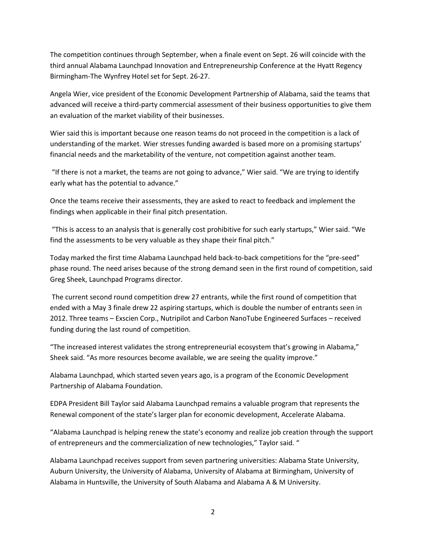The competition continues through September, when a finale event on Sept. 26 will coincide with the third annual Alabama Launchpad Innovation and Entrepreneurship Conference at the Hyatt Regency Birmingham-The Wynfrey Hotel set for Sept. 26-27.

Angela Wier, vice president of the Economic Development Partnership of Alabama, said the teams that advanced will receive a third-party commercial assessment of their business opportunities to give them an evaluation of the market viability of their businesses.

Wier said this is important because one reason teams do not proceed in the competition is a lack of understanding of the market. Wier stresses funding awarded is based more on a promising startups' financial needs and the marketability of the venture, not competition against another team.

"If there is not a market, the teams are not going to advance," Wier said. "We are trying to identify early what has the potential to advance."

Once the teams receive their assessments, they are asked to react to feedback and implement the findings when applicable in their final pitch presentation.

"This is access to an analysis that is generally cost prohibitive for such early startups," Wier said. "We find the assessments to be very valuable as they shape their final pitch."

Today marked the first time Alabama Launchpad held back-to-back competitions for the "pre-seed" phase round. The need arises because of the strong demand seen in the first round of competition, said Greg Sheek, Launchpad Programs director.

The current second round competition drew 27 entrants, while the first round of competition that ended with a May 3 finale drew 22 aspiring startups, which is double the number of entrants seen in 2012. Three teams – Exscien Corp., Nutripilot and Carbon NanoTube Engineered Surfaces – received funding during the last round of competition.

"The increased interest validates the strong entrepreneurial ecosystem that's growing in Alabama," Sheek said. "As more resources become available, we are seeing the quality improve."

Alabama Launchpad, which started seven years ago, is a program of the Economic Development Partnership of Alabama Foundation.

EDPA President Bill Taylor said Alabama Launchpad remains a valuable program that represents the Renewal component of the state's larger plan for economic development, Accelerate Alabama.

"Alabama Launchpad is helping renew the state's economy and realize job creation through the support of entrepreneurs and the commercialization of new technologies," Taylor said. "

Alabama Launchpad receives support from seven partnering universities: Alabama State University, Auburn University, the University of Alabama, University of Alabama at Birmingham, University of Alabama in Huntsville, the University of South Alabama and Alabama A & M University.